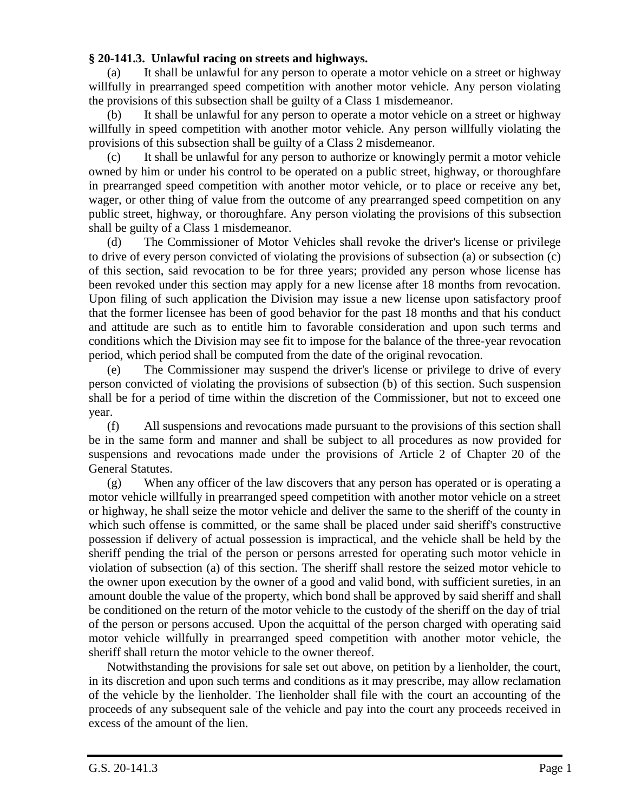## **§ 20-141.3. Unlawful racing on streets and highways.**

(a) It shall be unlawful for any person to operate a motor vehicle on a street or highway willfully in prearranged speed competition with another motor vehicle. Any person violating the provisions of this subsection shall be guilty of a Class 1 misdemeanor.

(b) It shall be unlawful for any person to operate a motor vehicle on a street or highway willfully in speed competition with another motor vehicle. Any person willfully violating the provisions of this subsection shall be guilty of a Class 2 misdemeanor.

(c) It shall be unlawful for any person to authorize or knowingly permit a motor vehicle owned by him or under his control to be operated on a public street, highway, or thoroughfare in prearranged speed competition with another motor vehicle, or to place or receive any bet, wager, or other thing of value from the outcome of any prearranged speed competition on any public street, highway, or thoroughfare. Any person violating the provisions of this subsection shall be guilty of a Class 1 misdemeanor.

(d) The Commissioner of Motor Vehicles shall revoke the driver's license or privilege to drive of every person convicted of violating the provisions of subsection (a) or subsection (c) of this section, said revocation to be for three years; provided any person whose license has been revoked under this section may apply for a new license after 18 months from revocation. Upon filing of such application the Division may issue a new license upon satisfactory proof that the former licensee has been of good behavior for the past 18 months and that his conduct and attitude are such as to entitle him to favorable consideration and upon such terms and conditions which the Division may see fit to impose for the balance of the three-year revocation period, which period shall be computed from the date of the original revocation.

(e) The Commissioner may suspend the driver's license or privilege to drive of every person convicted of violating the provisions of subsection (b) of this section. Such suspension shall be for a period of time within the discretion of the Commissioner, but not to exceed one year.

(f) All suspensions and revocations made pursuant to the provisions of this section shall be in the same form and manner and shall be subject to all procedures as now provided for suspensions and revocations made under the provisions of Article 2 of Chapter 20 of the General Statutes.

(g) When any officer of the law discovers that any person has operated or is operating a motor vehicle willfully in prearranged speed competition with another motor vehicle on a street or highway, he shall seize the motor vehicle and deliver the same to the sheriff of the county in which such offense is committed, or the same shall be placed under said sheriff's constructive possession if delivery of actual possession is impractical, and the vehicle shall be held by the sheriff pending the trial of the person or persons arrested for operating such motor vehicle in violation of subsection (a) of this section. The sheriff shall restore the seized motor vehicle to the owner upon execution by the owner of a good and valid bond, with sufficient sureties, in an amount double the value of the property, which bond shall be approved by said sheriff and shall be conditioned on the return of the motor vehicle to the custody of the sheriff on the day of trial of the person or persons accused. Upon the acquittal of the person charged with operating said motor vehicle willfully in prearranged speed competition with another motor vehicle, the sheriff shall return the motor vehicle to the owner thereof.

Notwithstanding the provisions for sale set out above, on petition by a lienholder, the court, in its discretion and upon such terms and conditions as it may prescribe, may allow reclamation of the vehicle by the lienholder. The lienholder shall file with the court an accounting of the proceeds of any subsequent sale of the vehicle and pay into the court any proceeds received in excess of the amount of the lien.